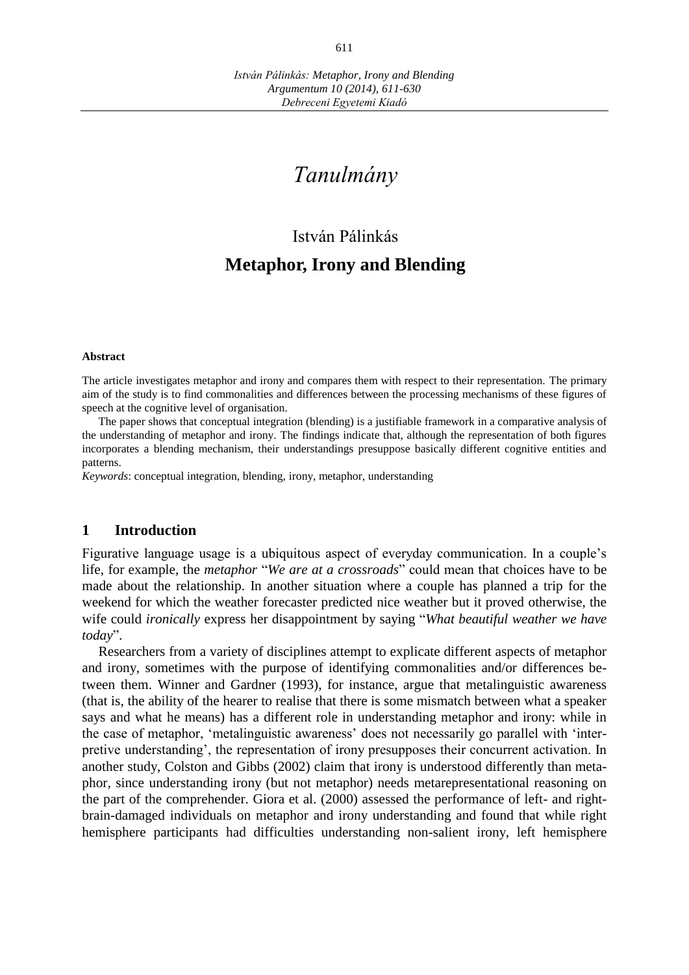# *Tanulmány*

# István Pálinkás **Metaphor, Irony and Blending**

#### **Abstract**

The article investigates metaphor and irony and compares them with respect to their representation. The primary aim of the study is to find commonalities and differences between the processing mechanisms of these figures of speech at the cognitive level of organisation.

The paper shows that conceptual integration (blending) is a justifiable framework in a comparative analysis of the understanding of metaphor and irony. The findings indicate that, although the representation of both figures incorporates a blending mechanism, their understandings presuppose basically different cognitive entities and patterns.

*Keywords*: conceptual integration, blending, irony, metaphor, understanding

#### **1 Introduction**

Figurative language usage is a ubiquitous aspect of everyday communication. In a couple's life, for example, the *metaphor* "*We are at a crossroads*" could mean that choices have to be made about the relationship. In another situation where a couple has planned a trip for the weekend for which the weather forecaster predicted nice weather but it proved otherwise, the wife could *ironically* express her disappointment by saying "*What beautiful weather we have today*".

Researchers from a variety of disciplines attempt to explicate different aspects of metaphor and irony, sometimes with the purpose of identifying commonalities and/or differences between them. Winner and Gardner (1993), for instance, argue that metalinguistic awareness (that is, the ability of the hearer to realise that there is some mismatch between what a speaker says and what he means) has a different role in understanding metaphor and irony: while in the case of metaphor, 'metalinguistic awareness' does not necessarily go parallel with 'interpretive understanding', the representation of irony presupposes their concurrent activation. In another study, Colston and Gibbs (2002) claim that irony is understood differently than metaphor, since understanding irony (but not metaphor) needs metarepresentational reasoning on the part of the comprehender. Giora et al. (2000) assessed the performance of left- and rightbrain-damaged individuals on metaphor and irony understanding and found that while right hemisphere participants had difficulties understanding non-salient irony, left hemisphere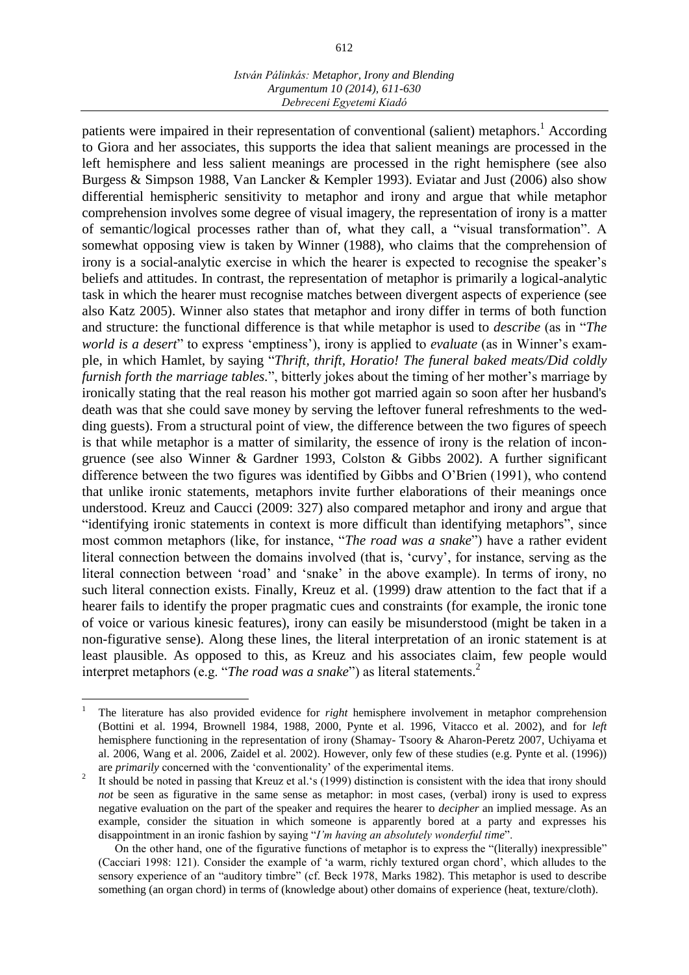#### *István Pálinkás: Metaphor, Irony and Blending Argumentum 10 (2014), 611-630 Debreceni Egyetemi Kiadó*

patients were impaired in their representation of conventional (salient) metaphors.<sup>1</sup> According to Giora and her associates, this supports the idea that salient meanings are processed in the left hemisphere and less salient meanings are processed in the right hemisphere (see also Burgess & Simpson 1988, Van Lancker & Kempler 1993). Eviatar and Just (2006) also show differential hemispheric sensitivity to metaphor and irony and argue that while metaphor comprehension involves some degree of visual imagery, the representation of irony is a matter of semantic/logical processes rather than of, what they call, a "visual transformation". A somewhat opposing view is taken by Winner (1988), who claims that the comprehension of irony is a social-analytic exercise in which the hearer is expected to recognise the speaker's beliefs and attitudes. In contrast, the representation of metaphor is primarily a logical-analytic task in which the hearer must recognise matches between divergent aspects of experience (see also Katz 2005). Winner also states that metaphor and irony differ in terms of both function and structure: the functional difference is that while metaphor is used to *describe* (as in "*The world is a desert*" to express 'emptiness'), irony is applied to *evaluate* (as in Winner's example, in which Hamlet, by saying "*[Thrift, thrift, Horatio! The funeral baked meats/Did coldly](http://www.shakespeare-navigators.com/hamlet/H12.html#180)  [furnish forth the marriage tables.](http://www.shakespeare-navigators.com/hamlet/H12.html#180)*", bitterly jokes about the timing of her mother's marriage by ironically stating that the real reason his mother got married again so soon after her husband's death was that she could save money by serving the leftover funeral refreshments to the wedding guests). From a structural point of view, the difference between the two figures of speech is that while metaphor is a matter of similarity, the essence of irony is the relation of incongruence (see also Winner & Gardner 1993, Colston & Gibbs 2002). A further significant difference between the two figures was identified by Gibbs and O'Brien (1991), who contend that unlike ironic statements, metaphors invite further elaborations of their meanings once understood. Kreuz and Caucci (2009: 327) also compared metaphor and irony and argue that "identifying ironic statements in context is more difficult than identifying metaphors", since most common metaphors (like, for instance, "*The road was a snake*") have a rather evident literal connection between the domains involved (that is, 'curvy', for instance, serving as the literal connection between 'road' and 'snake' in the above example). In terms of irony, no such literal connection exists. Finally, Kreuz et al. (1999) draw attention to the fact that if a hearer fails to identify the proper pragmatic cues and constraints (for example, the ironic tone of voice or various kinesic features), irony can easily be misunderstood (might be taken in a non-figurative sense). Along these lines, the literal interpretation of an ironic statement is at least plausible. As opposed to this, as Kreuz and his associates claim, few people would interpret metaphors (e.g. "*The road was a snake*") as literal statements. 2

<sup>1</sup> The literature has also provided evidence for *right* hemisphere involvement in metaphor comprehension (Bottini et al. 1994, Brownell 1984, 1988, 2000, Pynte et al. 1996, Vitacco et al. 2002), and for *left* hemisphere functioning in the representation of irony (Shamay- Tsoory & Aharon-Peretz 2007, Uchiyama et al. 2006, Wang et al. 2006, Zaidel et al. 2002). However, only few of these studies (e.g. Pynte et al. (1996)) are *primarily* concerned with the 'conventionality' of the experimental items.

<sup>2</sup> It should be noted in passing that Kreuz et al.'s (1999) distinction is consistent with the idea that irony should *not* be seen as figurative in the same sense as metaphor: in most cases, (verbal) irony is used to express negative evaluation on the part of the speaker and requires the hearer to *decipher* an implied message. As an example, consider the situation in which someone is apparently bored at a party and expresses his disappointment in an ironic fashion by saying "*I'm having an absolutely wonderful time*".

On the other hand, one of the figurative functions of metaphor is to express the "(literally) inexpressible" (Cacciari 1998: 121). Consider the example of 'a warm, richly textured organ chord', which alludes to the sensory experience of an "auditory timbre" (cf. Beck 1978, Marks 1982). This metaphor is used to describe something (an organ chord) in terms of (knowledge about) other domains of experience (heat, texture/cloth).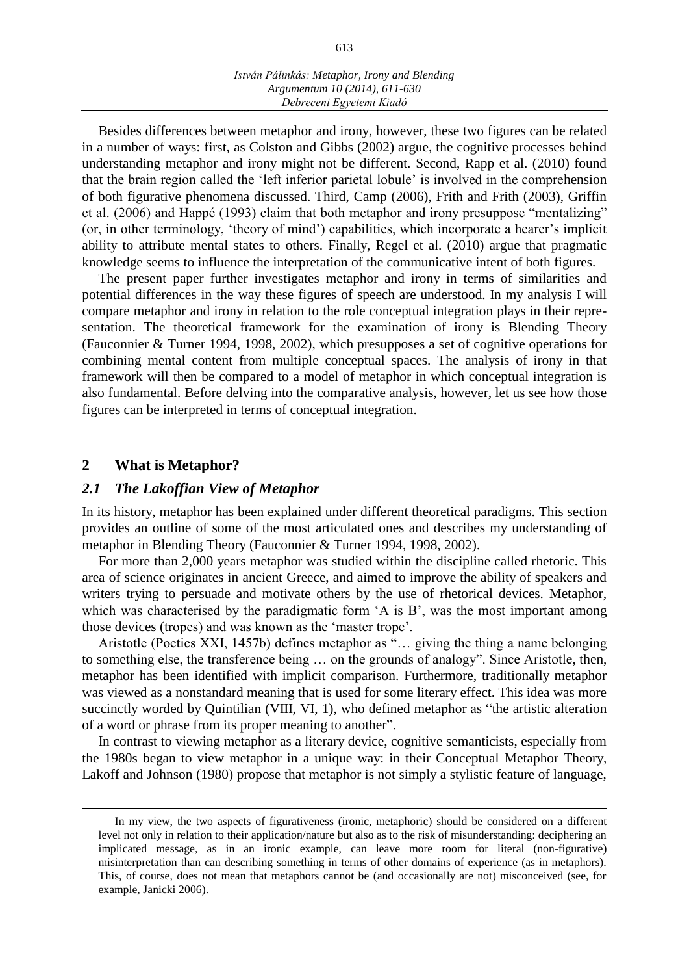Besides differences between metaphor and irony, however, these two figures can be related in a number of ways: first, as Colston and Gibbs (2002) argue, the cognitive processes behind understanding metaphor and irony might not be different. Second, Rapp et al. (2010) found that the brain region called the 'left inferior parietal lobule' is involved in the comprehension of both figurative phenomena discussed. Third, Camp (2006), Frith and Frith (2003), Griffin et al. (2006) and Happé (1993) claim that both metaphor and irony presuppose "mentalizing" (or, in other terminology, 'theory of mind') capabilities, which incorporate a hearer's implicit ability to attribute mental states to others. Finally, Regel et al. (2010) argue that pragmatic knowledge seems to influence the interpretation of the communicative intent of both figures.

The present paper further investigates metaphor and irony in terms of similarities and potential differences in the way these figures of speech are understood. In my analysis I will compare metaphor and irony in relation to the role conceptual integration plays in their representation. The theoretical framework for the examination of irony is Blending Theory (Fauconnier & Turner 1994, 1998, 2002), which presupposes a set of cognitive operations for combining mental content from multiple conceptual spaces. The analysis of irony in that framework will then be compared to a model of metaphor in which conceptual integration is also fundamental. Before delving into the comparative analysis, however, let us see how those figures can be interpreted in terms of conceptual integration.

#### **2 What is Metaphor?**

 $\overline{a}$ 

# *2.1 The Lakoffian View of Metaphor*

In its history, metaphor has been explained under different theoretical paradigms. This section provides an outline of some of the most articulated ones and describes my understanding of metaphor in Blending Theory (Fauconnier & Turner 1994, 1998, 2002).

For more than 2,000 years metaphor was studied within the discipline called rhetoric. This area of science originates in ancient Greece, and aimed to improve the ability of speakers and writers trying to persuade and motivate others by the use of rhetorical devices. Metaphor, which was characterised by the paradigmatic form 'A is B', was the most important among those devices (tropes) and was known as the 'master trope'.

Aristotle (Poetics XXI, 1457b) defines metaphor as "… giving the thing a name belonging to something else, the transference being … on the grounds of analogy". Since Aristotle, then, metaphor has been identified with implicit comparison. Furthermore, traditionally metaphor was viewed as a nonstandard meaning that is used for some literary effect. This idea was more succinctly worded by Quintilian (VIII, VI, 1), who defined metaphor as "the artistic alteration of a word or phrase from its proper meaning to another".

In contrast to viewing metaphor as a literary device, cognitive semanticists, especially from the 1980s began to view metaphor in a unique way: in their Conceptual Metaphor Theory, Lakoff and Johnson (1980) propose that metaphor is not simply a stylistic feature of language,

In my view, the two aspects of figurativeness (ironic, metaphoric) should be considered on a different level not only in relation to their application/nature but also as to the risk of misunderstanding: deciphering an implicated message, as in an ironic example, can leave more room for literal (non-figurative) misinterpretation than can describing something in terms of other domains of experience (as in metaphors). This, of course, does not mean that metaphors cannot be (and occasionally are not) misconceived (see, for example, Janicki 2006).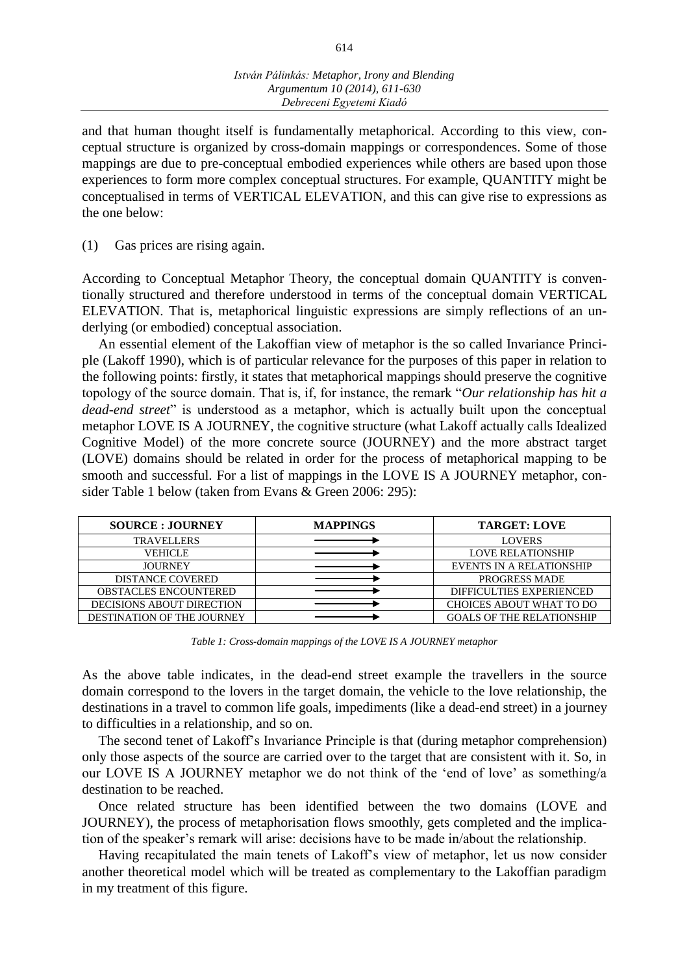and that human thought itself is fundamentally metaphorical. According to this view, conceptual structure is organized by cross-domain mappings or correspondences. Some of those mappings are due to pre-conceptual embodied experiences while others are based upon those experiences to form more complex conceptual structures. For example, QUANTITY might be conceptualised in terms of VERTICAL ELEVATION, and this can give rise to expressions as the one below:

(1) Gas prices are rising again.

According to Conceptual Metaphor Theory, the conceptual domain QUANTITY is conventionally structured and therefore understood in terms of the conceptual domain VERTICAL ELEVATION. That is, metaphorical linguistic expressions are simply reflections of an underlying (or embodied) conceptual association.

An essential element of the Lakoffian view of metaphor is the so called Invariance Principle (Lakoff 1990), which is of particular relevance for the purposes of this paper in relation to the following points: firstly, it states that metaphorical mappings should preserve the cognitive topology of the source domain. That is, if, for instance, the remark "*Our relationship has hit a dead-end street*" is understood as a metaphor, which is actually built upon the conceptual metaphor LOVE IS A JOURNEY, the cognitive structure (what Lakoff actually calls Idealized Cognitive Model) of the more concrete source (JOURNEY) and the more abstract target (LOVE) domains should be related in order for the process of metaphorical mapping to be smooth and successful. For a list of mappings in the LOVE IS A JOURNEY metaphor, consider Table 1 below (taken from Evans & Green 2006: 295):

| <b>SOURCE: JOURNEY</b>            | <b>MAPPINGS</b> | <b>TARGET: LOVE</b>              |
|-----------------------------------|-----------------|----------------------------------|
| <b>TRAVELLERS</b>                 |                 | <b>LOVERS</b>                    |
| VEHICLE                           |                 | <b>LOVE RELATIONSHIP</b>         |
| <b>JOURNEY</b>                    |                 | EVENTS IN A RELATIONSHIP         |
| <b>DISTANCE COVERED</b>           |                 | <b>PROGRESS MADE</b>             |
| <b>OBSTACLES ENCOUNTERED</b>      |                 | <b>DIFFICULTIES EXPERIENCED</b>  |
| <b>DECISIONS ABOUT DIRECTION</b>  |                 | <b>CHOICES ABOUT WHAT TO DO</b>  |
| <b>DESTINATION OF THE JOURNEY</b> |                 | <b>GOALS OF THE RELATIONSHIP</b> |

*Table 1: Cross-domain mappings of the LOVE IS A JOURNEY metaphor*

As the above table indicates, in the dead-end street example the travellers in the source domain correspond to the lovers in the target domain, the vehicle to the love relationship, the destinations in a travel to common life goals, impediments (like a dead-end street) in a journey to difficulties in a relationship, and so on.

The second tenet of Lakoff's Invariance Principle is that (during metaphor comprehension) only those aspects of the source are carried over to the target that are consistent with it. So, in our LOVE IS A JOURNEY metaphor we do not think of the 'end of love' as something/a destination to be reached.

Once related structure has been identified between the two domains (LOVE and JOURNEY), the process of metaphorisation flows smoothly, gets completed and the implication of the speaker's remark will arise: decisions have to be made in/about the relationship.

Having recapitulated the main tenets of Lakoff's view of metaphor, let us now consider another theoretical model which will be treated as complementary to the Lakoffian paradigm in my treatment of this figure.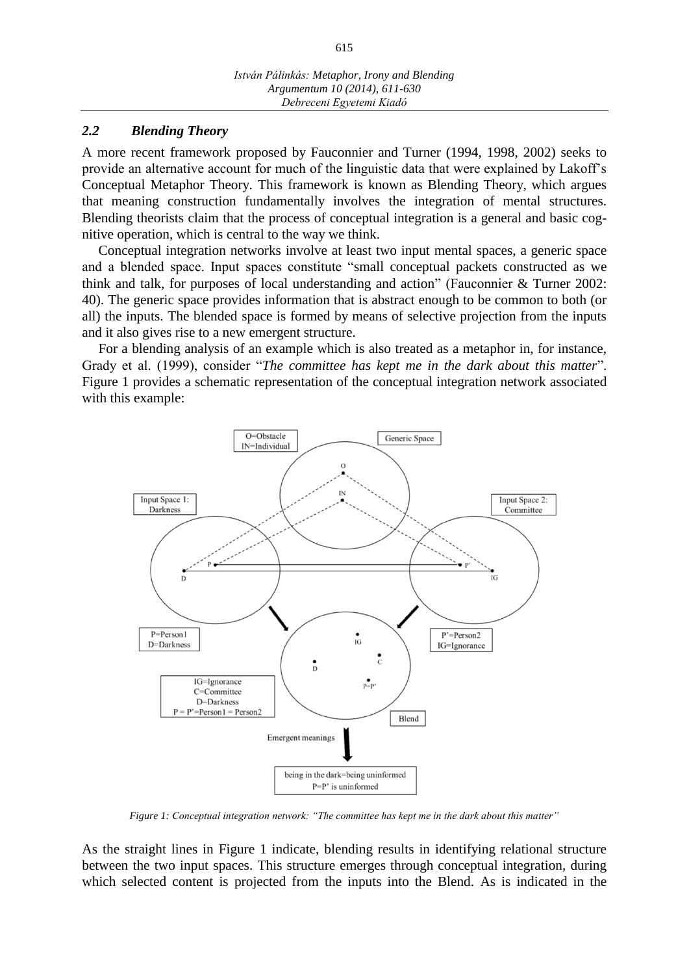#### *2.2 Blending Theory*

A more recent framework proposed by Fauconnier and Turner (1994, 1998, 2002) seeks to provide an alternative account for much of the linguistic data that were explained by Lakoff's Conceptual Metaphor Theory. This framework is known as Blending Theory, which argues that meaning construction fundamentally involves the integration of mental structures. Blending theorists claim that the process of conceptual integration is a general and basic cognitive operation, which is central to the way we think.

Conceptual integration networks involve at least two input mental spaces, a generic space and a blended space. Input spaces constitute "small conceptual packets constructed as we think and talk, for purposes of local understanding and action" (Fauconnier & Turner 2002: 40). The generic space provides information that is abstract enough to be common to both (or all) the inputs. The blended space is formed by means of selective projection from the inputs and it also gives rise to a new emergent structure.

For a blending analysis of an example which is also treated as a metaphor in, for instance, Grady et al. (1999), consider "*The committee has kept me in the dark about this matter*". Figure 1 provides a schematic representation of the conceptual integration network associated with this example:



*Figure 1: Conceptual integration network: "The committee has kept me in the dark about this matter"*

As the straight lines in Figure 1 indicate, blending results in identifying relational structure between the two input spaces. This structure emerges through conceptual integration, during which selected content is projected from the inputs into the Blend. As is indicated in the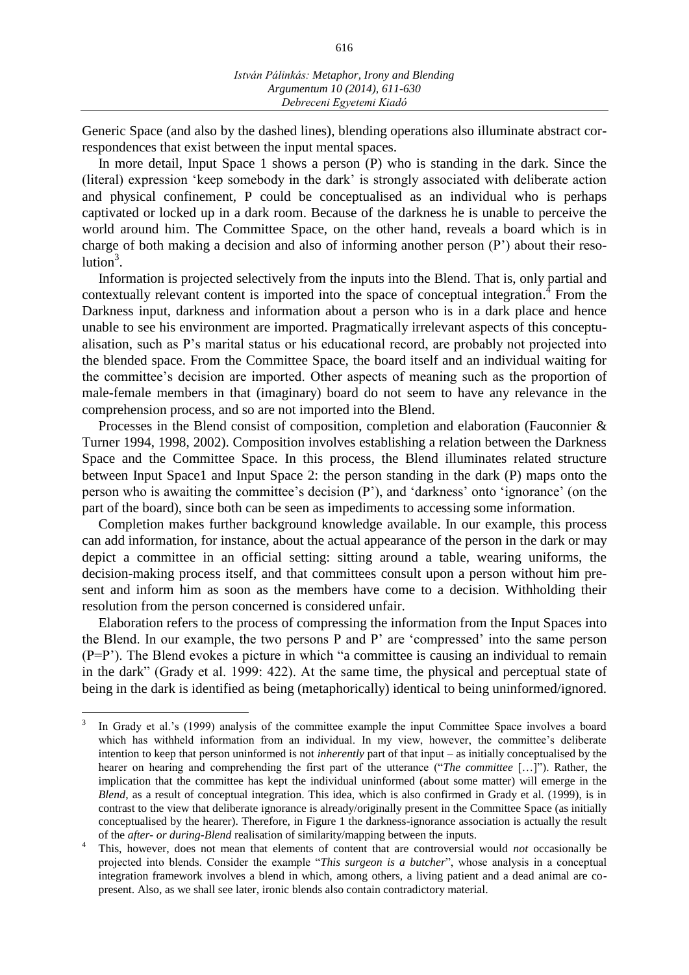616

Generic Space (and also by the dashed lines), blending operations also illuminate abstract correspondences that exist between the input mental spaces.

In more detail, Input Space 1 shows a person (P) who is standing in the dark. Since the (literal) expression 'keep somebody in the dark' is strongly associated with deliberate action and physical confinement, P could be conceptualised as an individual who is perhaps captivated or locked up in a dark room. Because of the darkness he is unable to perceive the world around him. The Committee Space, on the other hand, reveals a board which is in charge of both making a decision and also of informing another person (P') about their resolution<sup>3</sup>.

Information is projected selectively from the inputs into the Blend. That is, only partial and contextually relevant content is imported into the space of conceptual integration.<sup>4</sup> From the Darkness input, darkness and information about a person who is in a dark place and hence unable to see his environment are imported. Pragmatically irrelevant aspects of this conceptualisation, such as P's marital status or his educational record, are probably not projected into the blended space. From the Committee Space, the board itself and an individual waiting for the committee's decision are imported. Other aspects of meaning such as the proportion of male-female members in that (imaginary) board do not seem to have any relevance in the comprehension process, and so are not imported into the Blend.

Processes in the Blend consist of composition, completion and elaboration (Fauconnier & Turner 1994, 1998, 2002). Composition involves establishing a relation between the Darkness Space and the Committee Space. In this process, the Blend illuminates related structure between Input Space1 and Input Space 2: the person standing in the dark (P) maps onto the person who is awaiting the committee's decision (P'), and 'darkness' onto 'ignorance' (on the part of the board), since both can be seen as impediments to accessing some information.

Completion makes further background knowledge available. In our example, this process can add information, for instance, about the actual appearance of the person in the dark or may depict a committee in an official setting: sitting around a table, wearing uniforms, the decision-making process itself, and that committees consult upon a person without him present and inform him as soon as the members have come to a decision. Withholding their resolution from the person concerned is considered unfair.

Elaboration refers to the process of compressing the information from the Input Spaces into the Blend. In our example, the two persons P and P' are 'compressed' into the same person (P=P'). The Blend evokes a picture in which "a committee is causing an individual to remain in the dark" (Grady et al. 1999: 422). At the same time, the physical and perceptual state of being in the dark is identified as being (metaphorically) identical to being uninformed/ignored.

<sup>3</sup> In Grady et al.'s (1999) analysis of the committee example the input Committee Space involves a board which has withheld information from an individual. In my view, however, the committee's deliberate intention to keep that person uninformed is not *inherently* part of that input – as initially conceptualised by the hearer on hearing and comprehending the first part of the utterance ("*The committee* […]"). Rather, the implication that the committee has kept the individual uninformed (about some matter) will emerge in the *Blend*, as a result of conceptual integration. This idea, which is also confirmed in Grady et al. (1999), is in contrast to the view that deliberate ignorance is already/originally present in the Committee Space (as initially conceptualised by the hearer). Therefore, in Figure 1 the darkness-ignorance association is actually the result of the *after- or during-Blend* realisation of similarity/mapping between the inputs.

<sup>4</sup> This, however, does not mean that elements of content that are controversial would *not* occasionally be projected into blends. Consider the example "*This surgeon is a butcher*", whose analysis in a conceptual integration framework involves a blend in which, among others, a living patient and a dead animal are copresent. Also, as we shall see later, ironic blends also contain contradictory material.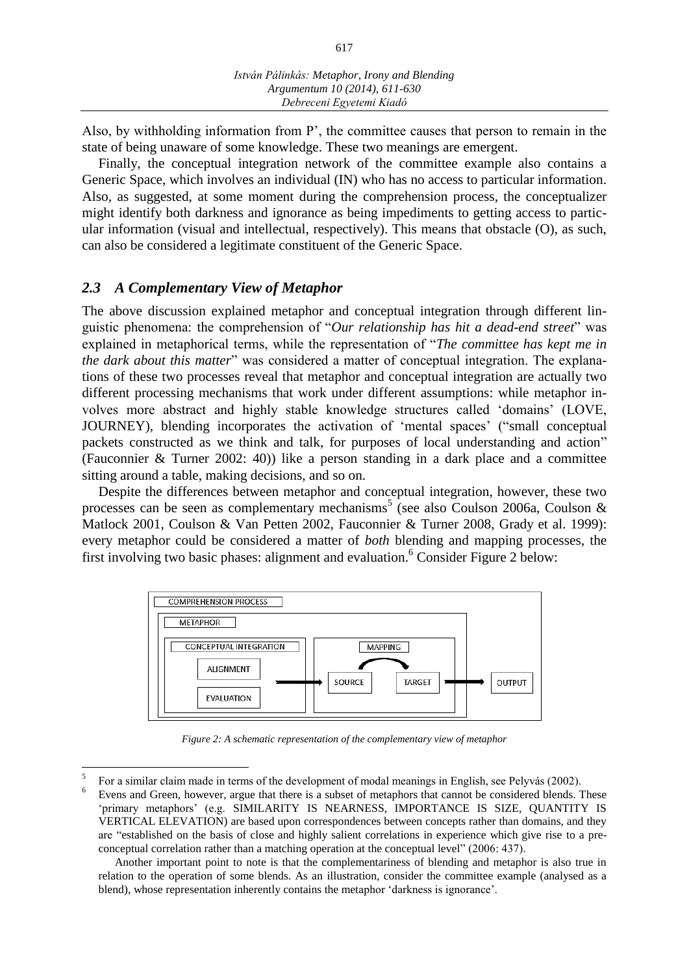Also, by withholding information from P', the committee causes that person to remain in the state of being unaware of some knowledge. These two meanings are emergent.

Finally, the conceptual integration network of the committee example also contains a Generic Space, which involves an individual (IN) who has no access to particular information. Also, as suggested, at some moment during the comprehension process, the conceptualizer might identify both darkness and ignorance as being impediments to getting access to particular information (visual and intellectual, respectively). This means that obstacle (O), as such, can also be considered a legitimate constituent of the Generic Space.

# *2.3 A Complementary View of Metaphor*

 $\overline{a}$ 

The above discussion explained metaphor and conceptual integration through different linguistic phenomena: the comprehension of "*Our relationship has hit a dead-end street*" was explained in metaphorical terms, while the representation of "*The committee has kept me in the dark about this matter*" was considered a matter of conceptual integration. The explanations of these two processes reveal that metaphor and conceptual integration are actually two different processing mechanisms that work under different assumptions: while metaphor involves more abstract and highly stable knowledge structures called 'domains' (LOVE, JOURNEY), blending incorporates the activation of 'mental spaces' ("small conceptual packets constructed as we think and talk, for purposes of local understanding and action" (Fauconnier & Turner 2002: 40)) like a person standing in a dark place and a committee sitting around a table, making decisions, and so on.

Despite the differences between metaphor and conceptual integration, however, these two processes can be seen as complementary mechanisms<sup>5</sup> (see also Coulson 2006a, Coulson & Matlock 2001, Coulson & Van Petten 2002, Fauconnier & Turner 2008, Grady et al. 1999): every metaphor could be considered a matter of *both* blending and mapping processes, the first involving two basic phases: alignment and evaluation.<sup>6</sup> Consider Figure 2 below:



*Figure 2: A schematic representation of the complementary view of metaphor*

<sup>5</sup> For a similar claim made in terms of the development of modal meanings in English, see Pelyvás (2002).

<sup>&</sup>lt;sup>6</sup> Evens and Green, however, argue that there is a subset of metaphors that cannot be considered blends. These 'primary metaphors' (e.g. SIMILARITY IS NEARNESS, IMPORTANCE IS SIZE, QUANTITY IS VERTICAL ELEVATION) are based upon correspondences between concepts rather than domains, and they are "established on the basis of close and highly salient correlations in experience which give rise to a preconceptual correlation rather than a matching operation at the conceptual level" (2006: 437).

Another important point to note is that the complementariness of blending and metaphor is also true in relation to the operation of some blends. As an illustration, consider the committee example (analysed as a blend), whose representation inherently contains the metaphor 'darkness is ignorance'.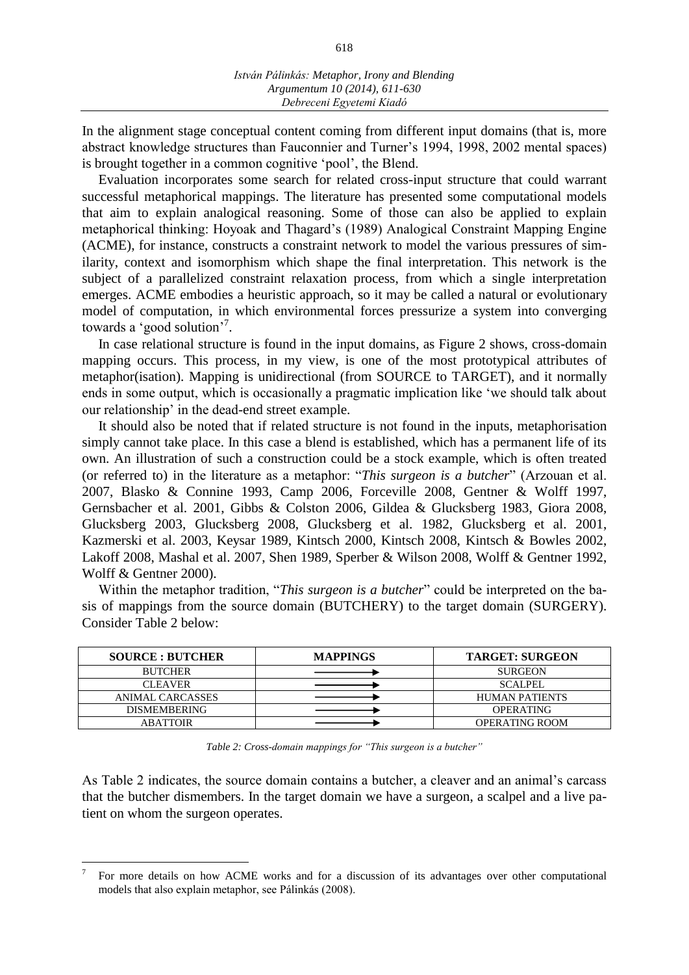In the alignment stage conceptual content coming from different input domains (that is, more abstract knowledge structures than Fauconnier and Turner's 1994, 1998, 2002 mental spaces) is brought together in a common cognitive 'pool', the Blend.

Evaluation incorporates some search for related cross-input structure that could warrant successful metaphorical mappings. The literature has presented some computational models that aim to explain analogical reasoning. Some of those can also be applied to explain metaphorical thinking: Hoyoak and Thagard's (1989) Analogical Constraint Mapping Engine (ACME), for instance, constructs a constraint network to model the various pressures of similarity, context and isomorphism which shape the final interpretation. This network is the subject of a parallelized constraint relaxation process, from which a single interpretation emerges. ACME embodies a heuristic approach, so it may be called a natural or evolutionary model of computation, in which environmental forces pressurize a system into converging towards a 'good solution'<sup>7</sup>.

In case relational structure is found in the input domains, as Figure 2 shows, cross-domain mapping occurs. This process, in my view, is one of the most prototypical attributes of metaphor(isation). Mapping is unidirectional (from SOURCE to TARGET), and it normally ends in some output, which is occasionally a pragmatic implication like 'we should talk about our relationship' in the dead-end street example.

It should also be noted that if related structure is not found in the inputs, metaphorisation simply cannot take place. In this case a blend is established, which has a permanent life of its own. An illustration of such a construction could be a stock example, which is often treated (or referred to) in the literature as a metaphor: "*This surgeon is a butcher*" (Arzouan et al. 2007, Blasko & Connine 1993, Camp 2006, Forceville 2008, Gentner & Wolff 1997, Gernsbacher et al. 2001, Gibbs & Colston 2006, Gildea & Glucksberg 1983, Giora 2008, Glucksberg 2003, Glucksberg 2008, Glucksberg et al. 1982, Glucksberg et al. 2001, Kazmerski et al. 2003, Keysar 1989, Kintsch 2000, Kintsch 2008, Kintsch & Bowles 2002, Lakoff 2008, Mashal et al. 2007, Shen 1989, Sperber & Wilson 2008, Wolff & Gentner 1992, Wolff & Gentner 2000).

Within the metaphor tradition, "*This surgeon is a butcher*" could be interpreted on the basis of mappings from the source domain (BUTCHERY) to the target domain (SURGERY). Consider Table 2 below:

| <b>SOURCE: BUTCHER</b> | <b>MAPPINGS</b> | <b>TARGET: SURGEON</b> |
|------------------------|-----------------|------------------------|
| <b>BUTCHER</b>         |                 | <b>SURGEON</b>         |
| <b>CLEAVER</b>         |                 | <b>SCALPEL</b>         |
| ANIMAL CARCASSES       |                 | <b>HUMAN PATIENTS</b>  |
| <b>DISMEMBERING</b>    |                 | <b>OPERATING</b>       |
| ABATTOIR               |                 | <b>OPERATING ROOM</b>  |

*Table 2: Cross-domain mappings for "This surgeon is a butcher"*

As Table 2 indicates, the source domain contains a butcher, a cleaver and an animal's carcass that the butcher dismembers. In the target domain we have a surgeon, a scalpel and a live patient on whom the surgeon operates.

<sup>7</sup> For more details on how ACME works and for a discussion of its advantages over other computational models that also explain metaphor, see Pálinkás (2008).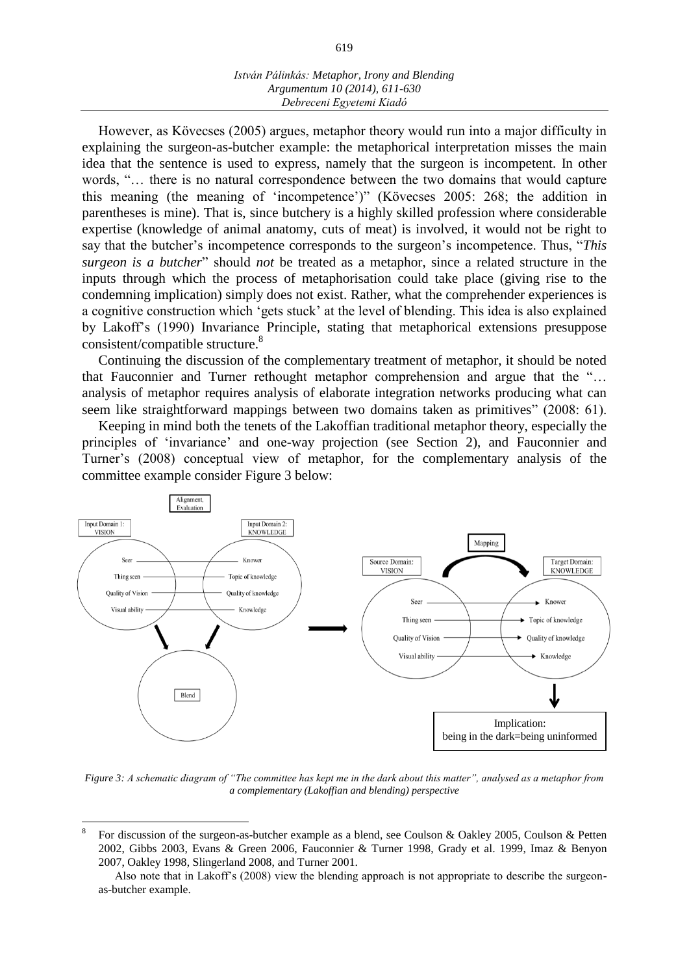However, as Kövecses (2005) argues, metaphor theory would run into a major difficulty in explaining the surgeon-as-butcher example: the metaphorical interpretation misses the main idea that the sentence is used to express, namely that the surgeon is incompetent. In other words, "... there is no natural correspondence between the two domains that would capture this meaning (the meaning of 'incompetence')" (Kövecses 2005: 268; the addition in parentheses is mine). That is, since butchery is a highly skilled profession where considerable expertise (knowledge of animal anatomy, cuts of meat) is involved, it would not be right to say that the butcher's incompetence corresponds to the surgeon's incompetence. Thus, "*This surgeon is a butcher*" should *not* be treated as a metaphor, since a related structure in the inputs through which the process of metaphorisation could take place (giving rise to the condemning implication) simply does not exist. Rather, what the comprehender experiences is a cognitive construction which 'gets stuck' at the level of blending. This idea is also explained by Lakoff's (1990) Invariance Principle, stating that metaphorical extensions presuppose consistent/compatible structure.<sup>8</sup>

Continuing the discussion of the complementary treatment of metaphor, it should be noted that Fauconnier and Turner rethought metaphor comprehension and argue that the "… analysis of metaphor requires analysis of elaborate integration networks producing what can seem like straightforward mappings between two domains taken as primitives" (2008: 61).

Keeping in mind both the tenets of the Lakoffian traditional metaphor theory, especially the principles of 'invariance' and one-way projection (see Section 2), and Fauconnier and Turner's (2008) conceptual view of metaphor, for the complementary analysis of the committee example consider Figure 3 below:



*Figure 3: A schematic diagram of "The committee has kept me in the dark about this matter", analysed as a metaphor from a complementary (Lakoffian and blending) perspective*

<sup>8</sup> For discussion of the surgeon-as-butcher example as a blend, see Coulson & Oakley 2005, Coulson & Petten 2002, Gibbs 2003, Evans & Green 2006, Fauconnier & Turner 1998, Grady et al. 1999, Imaz & Benyon 2007, Oakley 1998, Slingerland 2008, and Turner 2001.

Also note that in Lakoff's (2008) view the blending approach is not appropriate to describe the surgeonas-butcher example.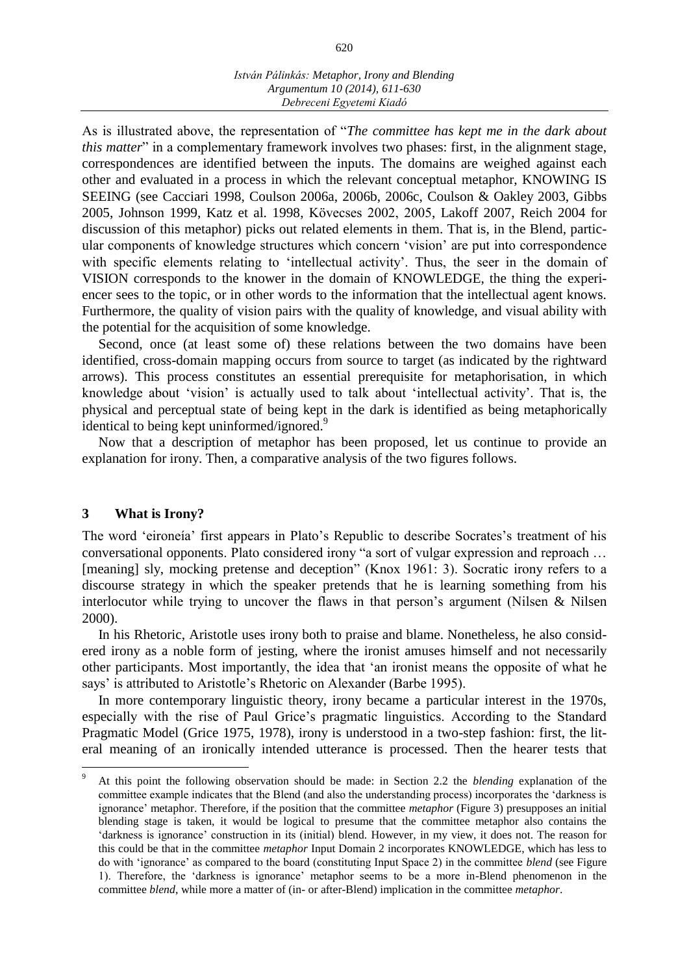As is illustrated above, the representation of "*The committee has kept me in the dark about this matter*" in a complementary framework involves two phases: first, in the alignment stage, correspondences are identified between the inputs. The domains are weighed against each other and evaluated in a process in which the relevant conceptual metaphor, KNOWING IS SEEING (see Cacciari 1998, Coulson 2006a, 2006b, 2006c, Coulson & Oakley 2003, Gibbs 2005, Johnson 1999, Katz et al. 1998, Kövecses 2002, 2005, Lakoff 2007, Reich 2004 for discussion of this metaphor) picks out related elements in them. That is, in the Blend, particular components of knowledge structures which concern 'vision' are put into correspondence with specific elements relating to 'intellectual activity'. Thus, the seer in the domain of VISION corresponds to the knower in the domain of KNOWLEDGE, the thing the experiencer sees to the topic, or in other words to the information that the intellectual agent knows. Furthermore, the quality of vision pairs with the quality of knowledge, and visual ability with the potential for the acquisition of some knowledge.

Second, once (at least some of) these relations between the two domains have been identified, cross-domain mapping occurs from source to target (as indicated by the rightward arrows). This process constitutes an essential prerequisite for metaphorisation, in which knowledge about 'vision' is actually used to talk about 'intellectual activity'. That is, the physical and perceptual state of being kept in the dark is identified as being metaphorically identical to being kept uninformed/ignored.<sup>9</sup>

Now that a description of metaphor has been proposed, let us continue to provide an explanation for irony. Then, a comparative analysis of the two figures follows.

# **3 What is Irony?**

 $\overline{a}$ 

The word 'eironeía' first appears in Plato's Republic to describe Socrates's treatment of his conversational opponents. Plato considered irony "a sort of vulgar expression and reproach … [meaning] sly, mocking pretense and deception" (Knox 1961: 3). Socratic irony refers to a discourse strategy in which the speaker pretends that he is learning something from his interlocutor while trying to uncover the flaws in that person's argument (Nilsen & Nilsen 2000).

In his Rhetoric, Aristotle uses irony both to praise and blame. Nonetheless, he also considered irony as a noble form of jesting, where the ironist amuses himself and not necessarily other participants. Most importantly, the idea that 'an ironist means the opposite of what he says' is attributed to Aristotle's Rhetoric on Alexander (Barbe 1995).

In more contemporary linguistic theory, irony became a particular interest in the 1970s, especially with the rise of Paul Grice's pragmatic linguistics. According to the Standard Pragmatic Model (Grice 1975, 1978), irony is understood in a two-step fashion: first, the literal meaning of an ironically intended utterance is processed. Then the hearer tests that

<sup>9</sup> At this point the following observation should be made: in Section 2.2 the *blending* explanation of the committee example indicates that the Blend (and also the understanding process) incorporates the 'darkness is ignorance' metaphor. Therefore, if the position that the committee *metaphor* (Figure 3) presupposes an initial blending stage is taken, it would be logical to presume that the committee metaphor also contains the 'darkness is ignorance' construction in its (initial) blend. However, in my view, it does not. The reason for this could be that in the committee *metaphor* Input Domain 2 incorporates KNOWLEDGE, which has less to do with 'ignorance' as compared to the board (constituting Input Space 2) in the committee *blend* (see Figure 1). Therefore, the 'darkness is ignorance' metaphor seems to be a more in-Blend phenomenon in the committee *blend*, while more a matter of (in- or after-Blend) implication in the committee *metaphor*.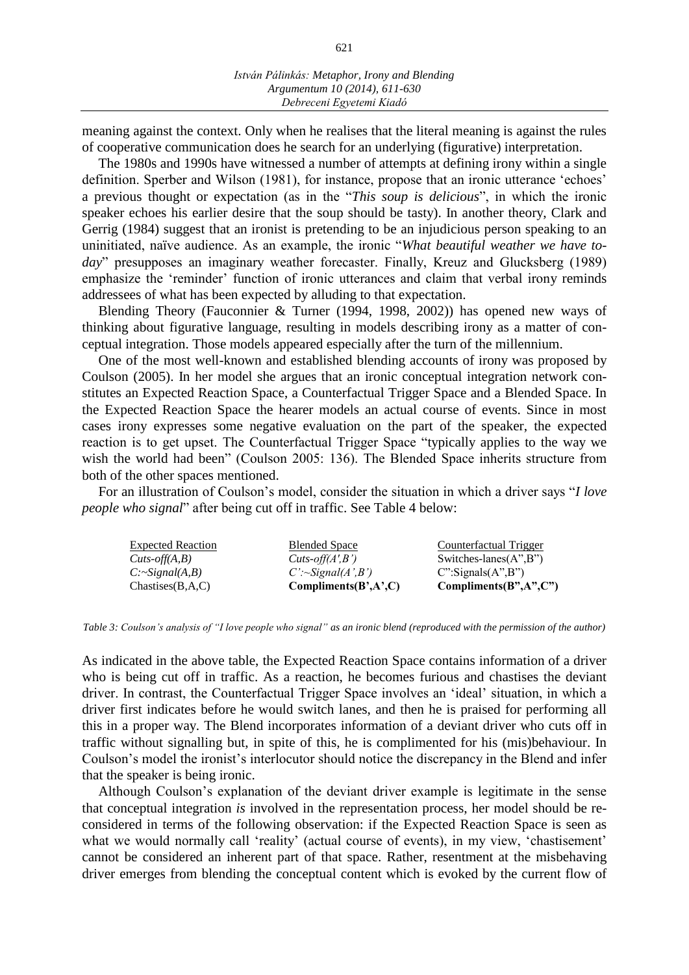meaning against the context. Only when he realises that the literal meaning is against the rules of cooperative communication does he search for an underlying (figurative) interpretation.

The 1980s and 1990s have witnessed a number of attempts at defining irony within a single definition. Sperber and Wilson (1981), for instance, propose that an ironic utterance 'echoes' a previous thought or expectation (as in the "*This soup is delicious*", in which the ironic speaker echoes his earlier desire that the soup should be tasty). In another theory, Clark and Gerrig (1984) suggest that an ironist is pretending to be an injudicious person speaking to an uninitiated, naïve audience. As an example, the ironic "*What beautiful weather we have today*" presupposes an imaginary weather forecaster. Finally, Kreuz and Glucksberg (1989) emphasize the 'reminder' function of ironic utterances and claim that verbal irony reminds addressees of what has been expected by alluding to that expectation.

Blending Theory (Fauconnier & Turner (1994, 1998, 2002)) has opened new ways of thinking about figurative language, resulting in models describing irony as a matter of conceptual integration. Those models appeared especially after the turn of the millennium.

One of the most well-known and established blending accounts of irony was proposed by Coulson (2005). In her model she argues that an ironic conceptual integration network constitutes an Expected Reaction Space, a Counterfactual Trigger Space and a Blended Space. In the Expected Reaction Space the hearer models an actual course of events. Since in most cases irony expresses some negative evaluation on the part of the speaker, the expected reaction is to get upset. The Counterfactual Trigger Space "typically applies to the way we wish the world had been" (Coulson 2005: 136). The Blended Space inherits structure from both of the other spaces mentioned.

For an illustration of Coulson's model, consider the situation in which a driver says "*I love people who signal*" after being cut off in traffic. See Table 4 below:

| <b>Expected Reaction</b> | <b>Blended Space</b>     | Counterfactual Trigger                               |
|--------------------------|--------------------------|------------------------------------------------------|
| $Cuts-off(A,B)$          | $Cuts\text{-}off(A',B')$ | Switches-lanes $(A^{\prime\prime},B^{\prime\prime})$ |
| $C:\sim Signal(A,B)$     | $C'$ :~Signal(A',B')     | $C$ ":Signals $(A$ ", $B$ ")                         |
| Chastises(B,A,C)         | Compliments(B', A', C)   | Compliments(B", A", C")                              |

*Table 3: Coulson's analysis of "I love people who signal" as an ironic blend (reproduced with the permission of the author)*

As indicated in the above table, the Expected Reaction Space contains information of a driver who is being cut off in traffic. As a reaction, he becomes furious and chastises the deviant driver. In contrast, the Counterfactual Trigger Space involves an 'ideal' situation, in which a driver first indicates before he would switch lanes, and then he is praised for performing all this in a proper way. The Blend incorporates information of a deviant driver who cuts off in traffic without signalling but, in spite of this, he is complimented for his (mis)behaviour. In Coulson's model the ironist's interlocutor should notice the discrepancy in the Blend and infer that the speaker is being ironic.

Although Coulson's explanation of the deviant driver example is legitimate in the sense that conceptual integration *is* involved in the representation process, her model should be reconsidered in terms of the following observation: if the Expected Reaction Space is seen as what we would normally call 'reality' (actual course of events), in my view, 'chastisement' cannot be considered an inherent part of that space. Rather, resentment at the misbehaving driver emerges from blending the conceptual content which is evoked by the current flow of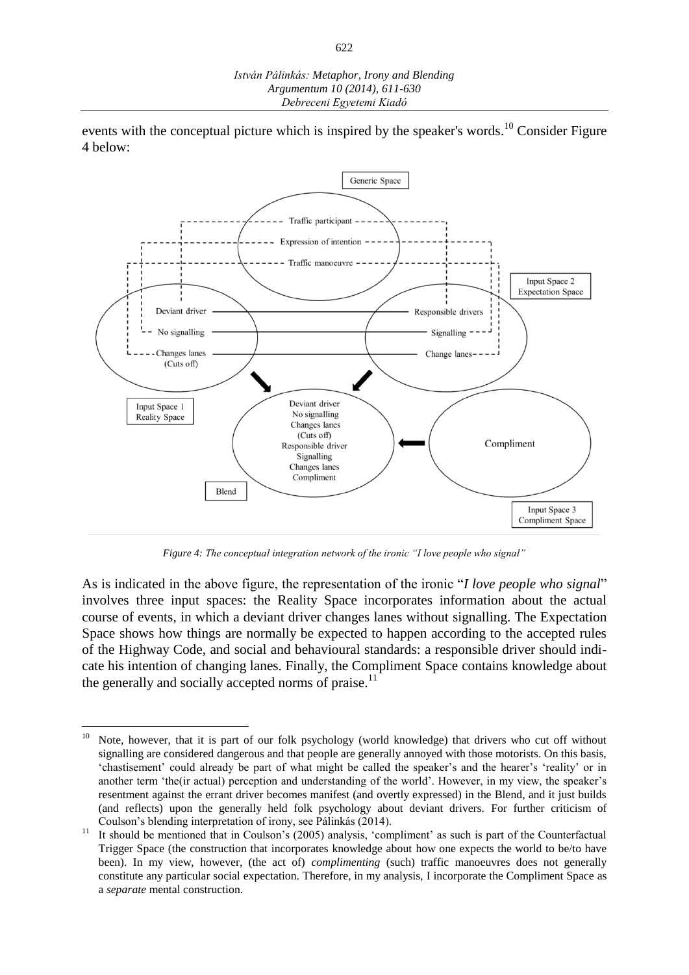events with the conceptual picture which is inspired by the speaker's words.<sup>10</sup> Consider Figure 4 below:



*Figure 4: The conceptual integration network of the ironic "I love people who signal"*

As is indicated in the above figure, the representation of the ironic "*I love people who signal*" involves three input spaces: the Reality Space incorporates information about the actual course of events, in which a deviant driver changes lanes without signalling. The Expectation Space shows how things are normally be expected to happen according to the accepted rules of the Highway Code, and social and behavioural standards: a responsible driver should indicate his intention of changing lanes. Finally, the Compliment Space contains knowledge about the generally and socially accepted norms of praise.<sup>11</sup>

 $\overline{a}$ <sup>10</sup> Note, however, that it is part of our folk psychology (world knowledge) that drivers who cut off without signalling are considered dangerous and that people are generally annoyed with those motorists. On this basis, 'chastisement' could already be part of what might be called the speaker's and the hearer's 'reality' or in another term 'the(ir actual) perception and understanding of the world'. However, in my view, the speaker's resentment against the errant driver becomes manifest (and overtly expressed) in the Blend, and it just builds (and reflects) upon the generally held folk psychology about deviant drivers. For further criticism of Coulson's blending interpretation of irony, see Pálinkás (2014).

<sup>&</sup>lt;sup>11</sup> It should be mentioned that in Coulson's (2005) analysis, 'compliment' as such is part of the Counterfactual Trigger Space (the construction that incorporates knowledge about how one expects the world to be/to have been). In my view, however, (the act of) *complimenting* (such) traffic manoeuvres does not generally constitute any particular social expectation. Therefore, in my analysis, I incorporate the Compliment Space as a *separate* mental construction.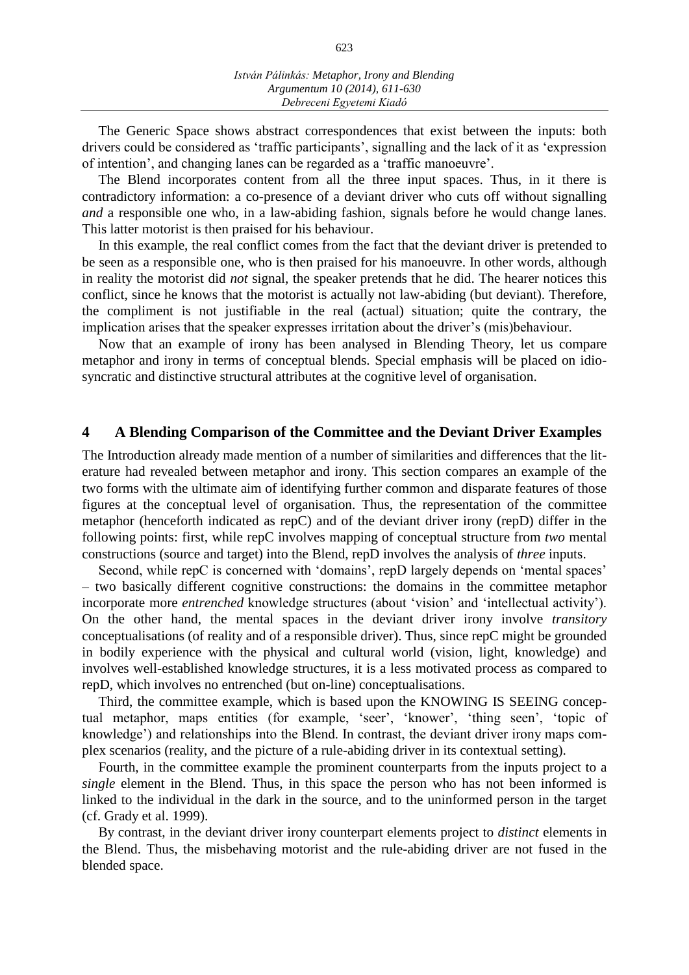The Generic Space shows abstract correspondences that exist between the inputs: both drivers could be considered as 'traffic participants', signalling and the lack of it as 'expression of intention', and changing lanes can be regarded as a 'traffic manoeuvre'.

The Blend incorporates content from all the three input spaces. Thus, in it there is contradictory information: a co-presence of a deviant driver who cuts off without signalling *and* a responsible one who, in a law-abiding fashion, signals before he would change lanes. This latter motorist is then praised for his behaviour.

In this example, the real conflict comes from the fact that the deviant driver is pretended to be seen as a responsible one, who is then praised for his manoeuvre. In other words, although in reality the motorist did *not* signal, the speaker pretends that he did. The hearer notices this conflict, since he knows that the motorist is actually not law-abiding (but deviant). Therefore, the compliment is not justifiable in the real (actual) situation; quite the contrary, the implication arises that the speaker expresses irritation about the driver's (mis)behaviour.

Now that an example of irony has been analysed in Blending Theory, let us compare metaphor and irony in terms of conceptual blends. Special emphasis will be placed on idiosyncratic and distinctive structural attributes at the cognitive level of organisation.

#### **4 A Blending Comparison of the Committee and the Deviant Driver Examples**

The Introduction already made mention of a number of similarities and differences that the literature had revealed between metaphor and irony. This section compares an example of the two forms with the ultimate aim of identifying further common and disparate features of those figures at the conceptual level of organisation. Thus, the representation of the committee metaphor (henceforth indicated as repC) and of the deviant driver irony (repD) differ in the following points: first, while repC involves mapping of conceptual structure from *two* mental constructions (source and target) into the Blend, repD involves the analysis of *three* inputs.

Second, while repC is concerned with 'domains', repD largely depends on 'mental spaces' – two basically different cognitive constructions: the domains in the committee metaphor incorporate more *entrenched* knowledge structures (about 'vision' and 'intellectual activity'). On the other hand, the mental spaces in the deviant driver irony involve *transitory* conceptualisations (of reality and of a responsible driver). Thus, since repC might be grounded in bodily experience with the physical and cultural world (vision, light, knowledge) and involves well-established knowledge structures, it is a less motivated process as compared to repD, which involves no entrenched (but on-line) conceptualisations.

Third, the committee example, which is based upon the KNOWING IS SEEING conceptual metaphor, maps entities (for example, 'seer', 'knower', 'thing seen', 'topic of knowledge') and relationships into the Blend. In contrast, the deviant driver irony maps complex scenarios (reality, and the picture of a rule-abiding driver in its contextual setting).

Fourth, in the committee example the prominent counterparts from the inputs project to a *single* element in the Blend. Thus, in this space the person who has not been informed is linked to the individual in the dark in the source, and to the uninformed person in the target (cf. Grady et al. 1999).

By contrast, in the deviant driver irony counterpart elements project to *distinct* elements in the Blend. Thus, the misbehaving motorist and the rule-abiding driver are not fused in the blended space.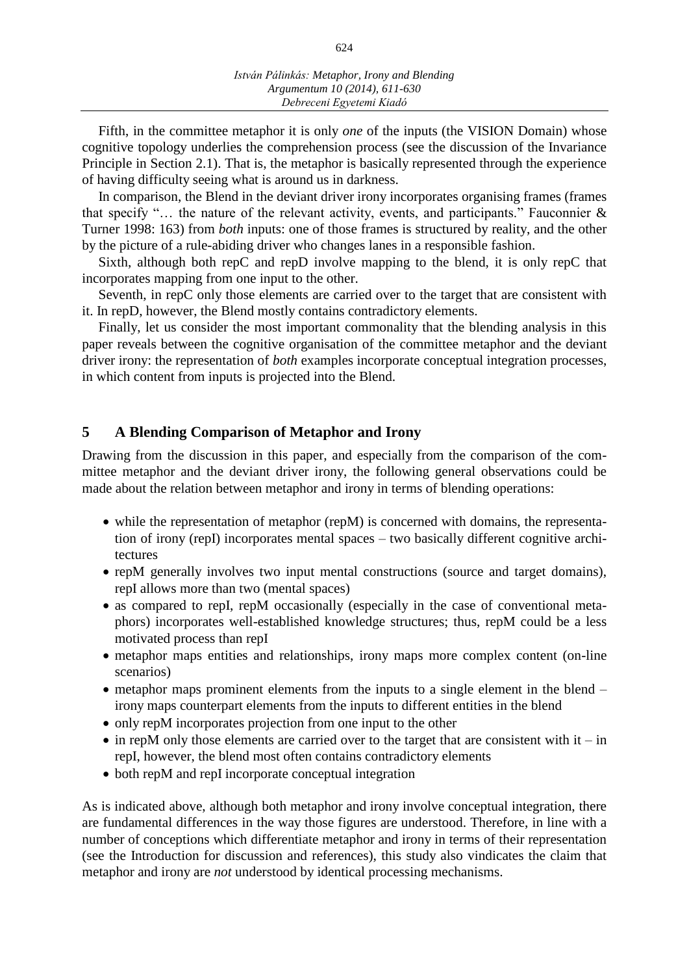Fifth, in the committee metaphor it is only *one* of the inputs (the VISION Domain) whose cognitive topology underlies the comprehension process (see the discussion of the Invariance Principle in Section 2.1). That is, the metaphor is basically represented through the experience of having difficulty seeing what is around us in darkness.

In comparison, the Blend in the deviant driver irony incorporates organising frames (frames that specify "... the nature of the relevant activity, events, and participants." Fauconnier  $\&$ Turner 1998: 163) from *both* inputs: one of those frames is structured by reality, and the other by the picture of a rule-abiding driver who changes lanes in a responsible fashion.

Sixth, although both repC and repD involve mapping to the blend, it is only repC that incorporates mapping from one input to the other.

Seventh, in repC only those elements are carried over to the target that are consistent with it. In repD, however, the Blend mostly contains contradictory elements.

Finally, let us consider the most important commonality that the blending analysis in this paper reveals between the cognitive organisation of the committee metaphor and the deviant driver irony: the representation of *both* examples incorporate conceptual integration processes, in which content from inputs is projected into the Blend.

# **5 A Blending Comparison of Metaphor and Irony**

Drawing from the discussion in this paper, and especially from the comparison of the committee metaphor and the deviant driver irony, the following general observations could be made about the relation between metaphor and irony in terms of blending operations:

- while the representation of metaphor (repM) is concerned with domains, the representation of irony (repI) incorporates mental spaces – two basically different cognitive architectures
- repM generally involves two input mental constructions (source and target domains), repI allows more than two (mental spaces)
- as compared to repI, repM occasionally (especially in the case of conventional metaphors) incorporates well-established knowledge structures; thus, repM could be a less motivated process than repI
- metaphor maps entities and relationships, irony maps more complex content (on-line scenarios)
- metaphor maps prominent elements from the inputs to a single element in the blend irony maps counterpart elements from the inputs to different entities in the blend
- only repM incorporates projection from one input to the other
- $\bullet$  in repM only those elements are carried over to the target that are consistent with it in repI, however, the blend most often contains contradictory elements
- both repM and repI incorporate conceptual integration

As is indicated above, although both metaphor and irony involve conceptual integration, there are fundamental differences in the way those figures are understood. Therefore, in line with a number of conceptions which differentiate metaphor and irony in terms of their representation (see the Introduction for discussion and references), this study also vindicates the claim that metaphor and irony are *not* understood by identical processing mechanisms.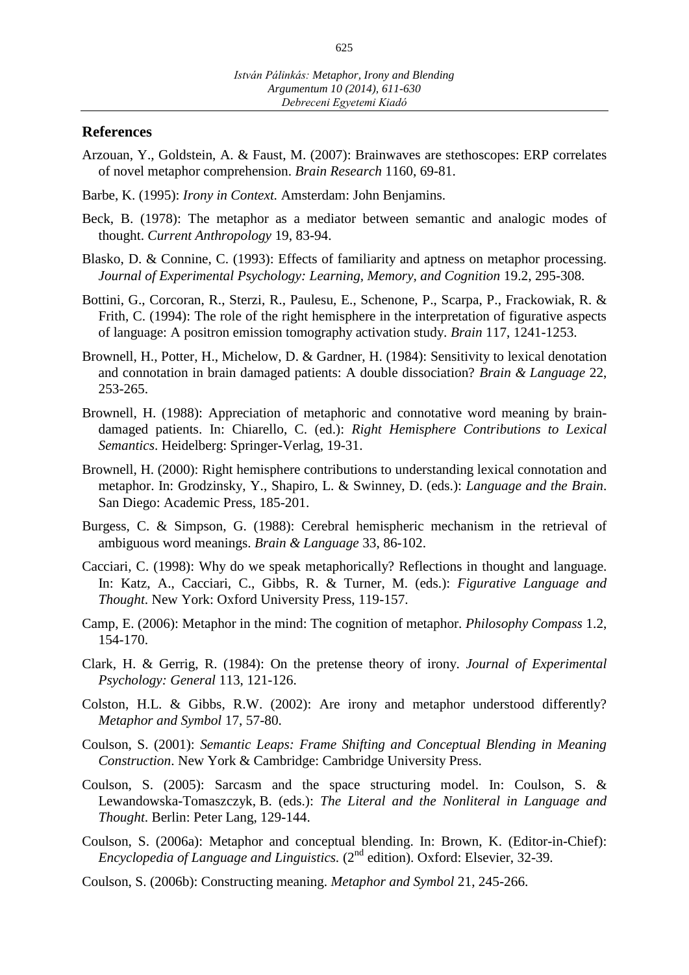### **References**

- Arzouan, Y., Goldstein, A. & Faust, M. (2007): Brainwaves are stethoscopes: ERP correlates of novel metaphor comprehension. *Brain Research* 1160, 69-81.
- Barbe, K. (1995): *Irony in Context.* Amsterdam: John Benjamins.
- Beck, B. (1978): The metaphor as a mediator between semantic and analogic modes of thought. *Current Anthropology* 19, 83-94.
- Blasko, D. & Connine, C. (1993): Effects of familiarity and aptness on metaphor processing. *Journal of Experimental Psychology: Learning, Memory, and Cognition* 19.2, 295-308.
- Bottini, G., Corcoran, R., Sterzi, R., Paulesu, E., Schenone, P., Scarpa, P., Frackowiak, R. & Frith, C. (1994): The role of the right hemisphere in the interpretation of figurative aspects of language: A positron emission tomography activation study. *Brain* 117, 1241-1253.
- Brownell, H., Potter, H., Michelow, D. & Gardner, H. (1984): Sensitivity to lexical denotation and connotation in brain damaged patients: A double dissociation? *Brain & Language* 22, 253-265.
- Brownell, H. (1988): Appreciation of metaphoric and connotative word meaning by braindamaged patients. In: Chiarello, C. (ed.): *Right Hemisphere Contributions to Lexical Semantics*. Heidelberg: Springer-Verlag, 19-31.
- Brownell, H. (2000): Right hemisphere contributions to understanding lexical connotation and metaphor. In: Grodzinsky, Y., Shapiro, L. & Swinney, D. (eds.): *Language and the Brain*. San Diego: Academic Press, 185-201.
- Burgess, C. & Simpson, G. (1988): Cerebral hemispheric mechanism in the retrieval of ambiguous word meanings. *Brain & Language* 33, 86-102.
- Cacciari, C. (1998): Why do we speak metaphorically? Reflections in thought and language. In: Katz, A., Cacciari, C., Gibbs, R. & Turner, M. (eds.): *Figurative Language and Thought*. New York: Oxford University Press, 119-157.
- Camp, E. (2006): Metaphor in the mind: The cognition of metaphor. *Philosophy Compass* 1.2, 154-170.
- Clark, H. & Gerrig, R. (1984): On the pretense theory of irony. *Journal of Experimental Psychology: General* 113, 121-126.
- Colston, H.L. & Gibbs, R.W. (2002): Are irony and metaphor understood differently? *Metaphor and Symbol* 17, 57-80.
- Coulson, S. (2001): *Semantic Leaps: Frame Shifting and Conceptual Blending in Meaning Construction*. New York & Cambridge: Cambridge University Press.
- Coulson, S. (2005): Sarcasm and the space structuring model. In: Coulson, S. & Lewandowska-Tomaszczyk, B. (eds.): *The Literal and the Nonliteral in Language and Thought*. Berlin: Peter Lang, 129-144.
- Coulson, S. (2006a): Metaphor and conceptual blending. In: Brown, K. (Editor-in-Chief): Encyclopedia of Language and Linguistics. (2<sup>nd</sup> edition). Oxford: Elsevier, 32-39.
- Coulson, S. (2006b): Constructing meaning. *Metaphor and Symbol* 21, 245-266.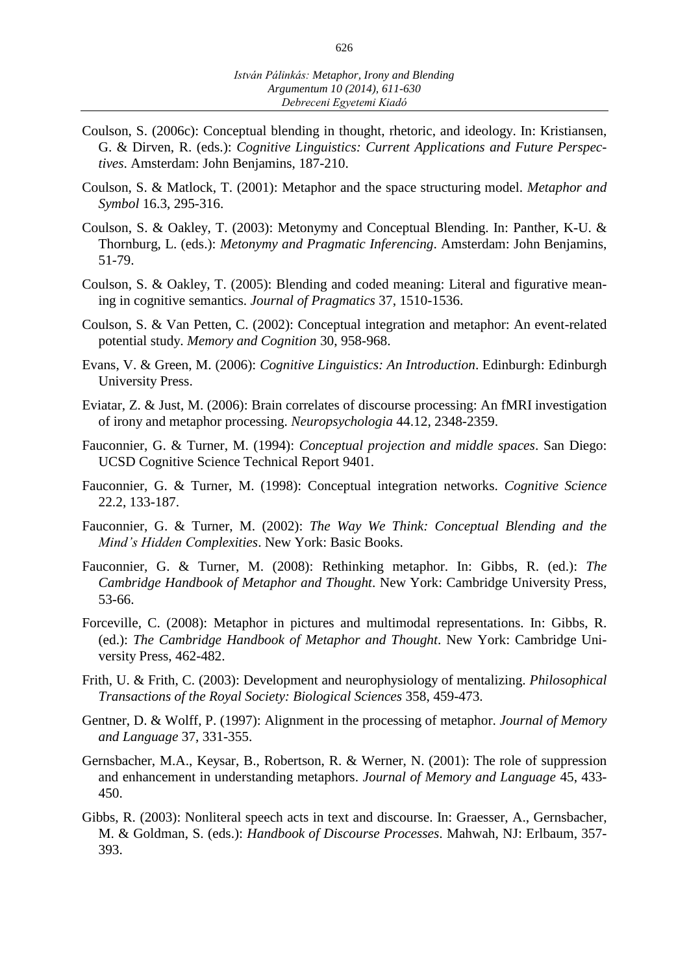- Coulson, S. (2006c): Conceptual blending in thought, rhetoric, and ideology. In: Kristiansen, G. & Dirven, R. (eds.): *Cognitive Linguistics: Current Applications and Future Perspectives*. Amsterdam: John Benjamins, 187-210.
- Coulson, S. & Matlock, T. (2001): Metaphor and the space structuring model. *Metaphor and Symbol* 16.3, 295-316.
- Coulson, S. & Oakley, T. (2003): Metonymy and Conceptual Blending. In: Panther, K-U. & Thornburg, L. (eds.): *Metonymy and Pragmatic Inferencing*. Amsterdam: John Benjamins, 51-79.
- Coulson, S. & Oakley, T. (2005): Blending and coded meaning: Literal and figurative meaning in cognitive semantics. *Journal of Pragmatics* 37, 1510-1536.
- Coulson, S. & Van Petten, C. (2002): Conceptual integration and metaphor: An event-related potential study. *Memory and Cognition* 30, 958-968.
- Evans, V. & Green, M. (2006): *Cognitive Linguistics: An Introduction*. Edinburgh: Edinburgh University Press.
- Eviatar, Z. & Just, M. (2006): Brain correlates of discourse processing: An fMRI investigation of irony and metaphor processing. *[Neuropsychologia](http://dx.doi.org/10.1016/j.neuropsychologia.2006.05.007)* 44.12, 2348-2359.
- Fauconnier, G. & Turner, M. (1994): *Conceptual projection and middle spaces*. San Diego: UCSD Cognitive Science Technical Report 9401.
- Fauconnier, G. & Turner, M. (1998): Conceptual integration networks. *Cognitive Science*  22.2, 133-187.
- Fauconnier, G. & Turner, M. (2002): *The Way We Think: Conceptual Blending and the Mind's Hidden Complexities*. New York: Basic Books.
- Fauconnier, G. & Turner, M. (2008): Rethinking metaphor. In: Gibbs, R. (ed.): *The Cambridge Handbook of Metaphor and Thought*. New York: Cambridge University Press, 53-66.
- Forceville, C. (2008): Metaphor in pictures and multimodal representations. In: Gibbs, R. (ed.): *The Cambridge Handbook of Metaphor and Thought*. New York: Cambridge University Press, 462-482.
- Frith, U. & Frith, C. (2003): Development and neurophysiology of mentalizing. *Philosophical Transactions of the Royal Society: Biological Sciences* 358, 459-473.
- Gentner, D. & Wolff, P. (1997): Alignment in the processing of metaphor. *Journal of Memory and Language* 37, 331-355.
- Gernsbacher, M.A., Keysar, B., Robertson, R. & Werner, N. (2001): The role of suppression and enhancement in understanding metaphors. *Journal of Memory and Language* 45, 433- 450.
- Gibbs, R. (2003): Nonliteral speech acts in text and discourse. In: Graesser, A., Gernsbacher, M. & Goldman, S. (eds.): *Handbook of Discourse Processes*. Mahwah, NJ: Erlbaum, 357- 393.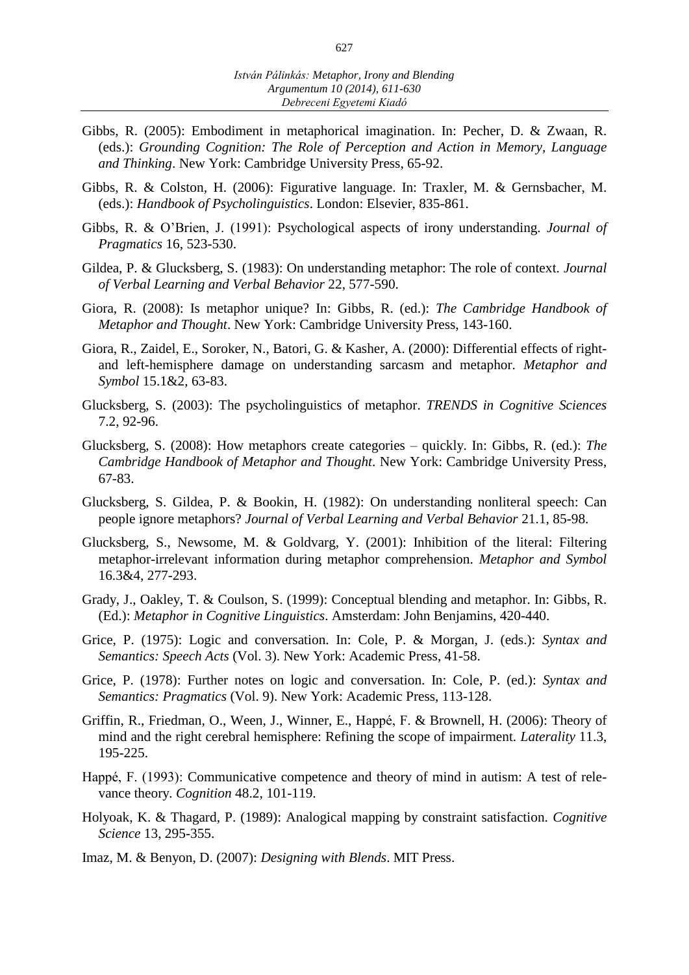- Gibbs, R. (2005): Embodiment in metaphorical imagination. In: Pecher, D. & Zwaan, R. (eds.): *Grounding Cognition: The Role of Perception and Action in Memory, Language and Thinking*. New York: Cambridge University Press, 65-92.
- Gibbs, R. & Colston, H. (2006): Figurative language. In: Traxler, M. & Gernsbacher, M. (eds.): *Handbook of Psycholinguistics*. London: Elsevier, 835-861.
- Gibbs, R. & O'Brien, J. (1991): Psychological aspects of irony understanding. *Journal of Pragmatics* 16, 523-530.
- Gildea, P. & Glucksberg, S. (1983): On understanding metaphor: The role of context. *Journal of Verbal Learning and Verbal Behavior* 22, 577-590.
- Giora, R. (2008): Is metaphor unique? In: Gibbs, R. (ed.): *The Cambridge Handbook of Metaphor and Thought*. New York: Cambridge University Press, 143-160.
- Giora, R., Zaidel, E., Soroker, N., Batori, G. & Kasher, A. (2000): Differential effects of rightand left-hemisphere damage on understanding sarcasm and metaphor. *Metaphor and Symbol* 15.1&2, 63-83.
- Glucksberg, S. (2003): The psycholinguistics of metaphor. *TRENDS in Cognitive Sciences* 7.2, 92-96.
- Glucksberg, S. (2008): How metaphors create categories quickly. In: Gibbs, R. (ed.): *The Cambridge Handbook of Metaphor and Thought*. New York: Cambridge University Press, 67-83.
- Glucksberg, S. Gildea, P. & Bookin, H. (1982): On understanding nonliteral speech: Can people ignore metaphors? *[Journal of Verbal Learning and Verbal Behavior](http://www.sciencedirect.com/science/journal/00225371)* 21.1, 85-98.
- Glucksberg, S., Newsome, M. & Goldvarg, Y. (2001): Inhibition of the literal: Filtering metaphor-irrelevant information during metaphor comprehension. *Metaphor and Symbol* 16.3&4, 277-293.
- Grady, J., Oakley, T. & Coulson, S. (1999): Conceptual blending and metaphor. In: Gibbs, R. (Ed.): *Metaphor in Cognitive Linguistics*. Amsterdam: John Benjamins, 420-440.
- Grice, P. (1975): Logic and conversation. In: Cole, P. & Morgan, J. (eds.): *Syntax and Semantics: Speech Acts* (Vol. 3). New York: Academic Press, 41-58.
- Grice, P. (1978): Further notes on logic and conversation. In: Cole, P. (ed.): *Syntax and Semantics: Pragmatics* (Vol. 9). New York: Academic Press, 113-128.
- Griffin, R., Friedman, O., Ween, J., Winner, E., Happé, F. & Brownell, H. (2006): Theory of mind and the right cerebral hemisphere: Refining the scope of impairment. *Laterality* 11.3, 195-225.
- Happé, F. (1993): Communicative competence and theory of mind in autism: A test of relevance theory. *Cognition* 48.2, 101-119.
- Holyoak, K. & Thagard, P. (1989): Analogical mapping by constraint satisfaction. *Cognitive Science* 13, 295-355.
- Imaz, M. & Benyon, D. (2007): *Designing with Blends*. MIT Press.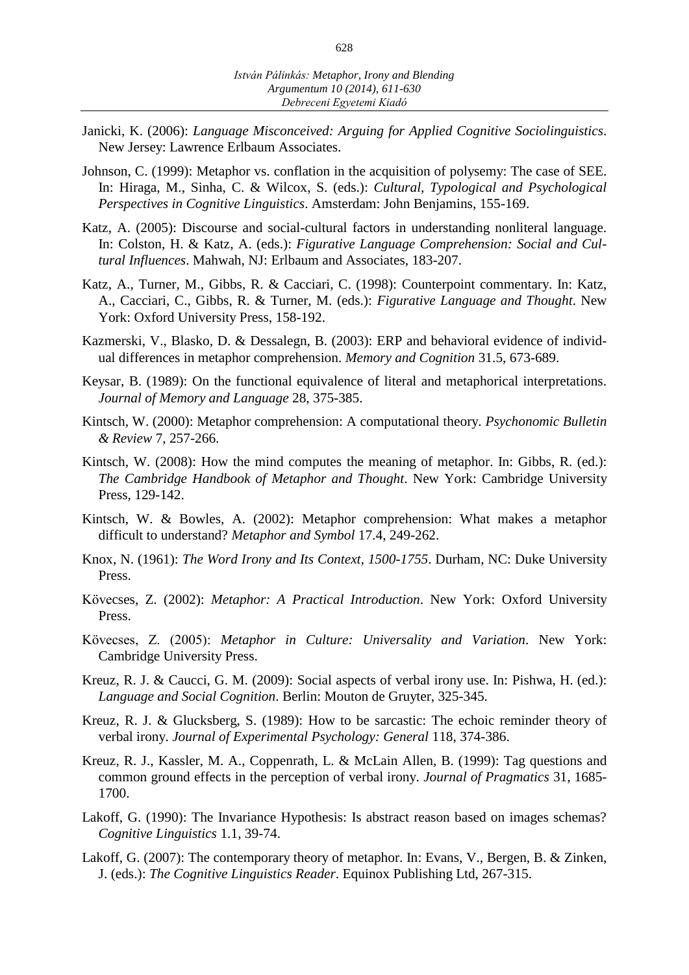- Janicki, K. (2006): *Language Misconceived: Arguing for Applied Cognitive Sociolinguistics*. New Jersey: Lawrence Erlbaum Associates.
- Johnson, C. (1999): Metaphor vs. conflation in the acquisition of polysemy: The case of SEE. In: Hiraga, M., Sinha, C. & Wilcox, S. (eds.): *Cultural, Typological and Psychological Perspectives in Cognitive Linguistics*. Amsterdam: John Benjamins, 155-169.
- Katz, A. (2005): Discourse and social-cultural factors in understanding nonliteral language. In: Colston, H. & Katz, A. (eds.): *Figurative Language Comprehension: Social and Cultural Influences*. Mahwah, NJ: Erlbaum and Associates, 183-207.
- Katz, A., Turner, M., Gibbs, R. & Cacciari, C. (1998): Counterpoint commentary. In: Katz, A., Cacciari, C., Gibbs, R. & Turner, M. (eds.): *Figurative Language and Thought*. New York: Oxford University Press, 158-192.
- Kazmerski, V., Blasko, D. & Dessalegn, B. (2003): ERP and behavioral evidence of individual differences in metaphor comprehension. *Memory and Cognition* 31.5, 673-689.
- Keysar, B. (1989): [On the functional equivalence of literal and metaphorical interpretations.](http://psychology.uchicago.edu/people/faculty/keysar/1_jml89.pdf)  *[Journal of Memory and Language](http://psychology.uchicago.edu/people/faculty/keysar/1_jml89.pdf)* 28, 375-385.
- Kintsch, W. (2000): Metaphor comprehension: A computational theory. *Psychonomic Bulletin & Review* 7, 257-266.
- Kintsch, W. (2008): How the mind computes the meaning of metaphor. In: Gibbs, R. (ed.): *The Cambridge Handbook of Metaphor and Thought*. New York: Cambridge University Press, 129-142.
- Kintsch, W. & Bowles, A. (2002): Metaphor comprehension: What makes a metaphor difficult to understand? *Metaphor and Symbol* 17.4, 249-262.
- Knox, N. (1961): *The Word Irony and Its Context, 1500-1755*. Durham, NC: Duke University Press.
- Kövecses, Z. (2002): *Metaphor: A Practical Introduction*. New York: Oxford University Press.
- Kövecses, Z. (2005): *Metaphor in Culture: Universality and Variation*. New York: Cambridge University Press.
- Kreuz, R. J. & Caucci, G. M. (2009): Social aspects of verbal irony use. In: Pishwa, H. (ed.): *[Language and Social Cognition](http://www.amazon.com/Language-Social-Cognition-Expression-Linguistics/dp/3110205866/ref=sr_1_1?ie=UTF8&s=books&qid=1254531768&sr=8-1)*. Berlin: Mouton de Gruyter, 325-345.
- Kreuz, R. J. & Glucksberg, S. (1989): How to be sarcastic: The echoic reminder theory of verbal irony. *Journal of Experimental Psychology: General* 118, 374-386.
- Kreuz, R. J., Kassler, M. A., Coppenrath, L. & McLain Allen, B. (1999): Tag questions and common ground effects in the perception of verbal irony. *Journal of Pragmatics* 31, 1685- 1700.
- Lakoff, G. (1990): The Invariance Hypothesis: Is abstract reason based on images schemas? *Cognitive Linguistics* 1.1, 39-74.
- Lakoff, G. (2007): The contemporary theory of metaphor. In: Evans, V., Bergen, B. & Zinken, J. (eds.): *The Cognitive Linguistics Reader*. Equinox Publishing Ltd, 267-315.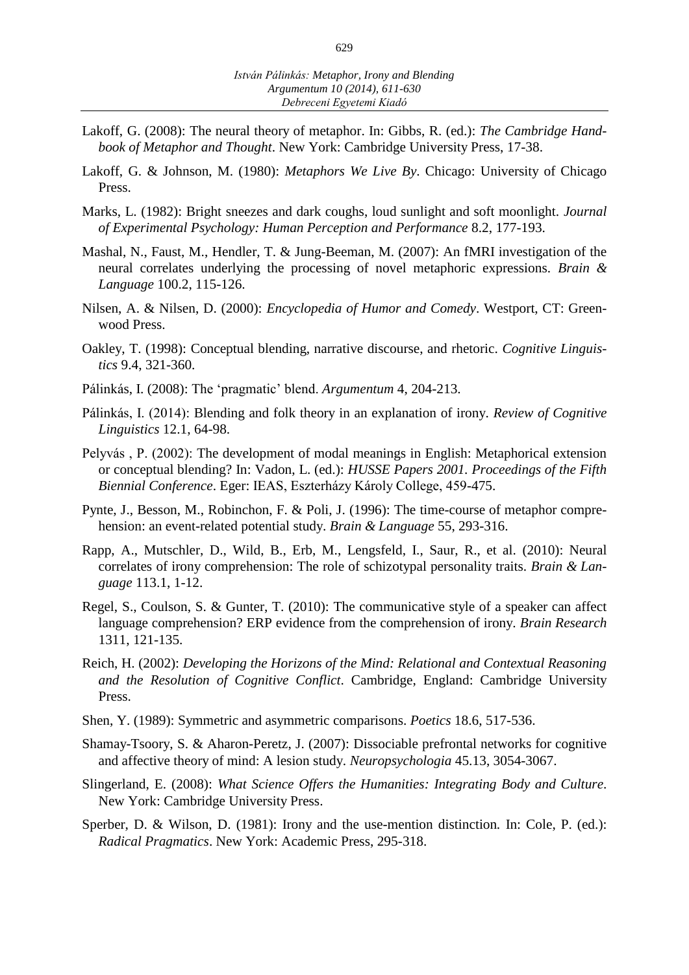- Lakoff, G. (2008): The neural theory of metaphor. In: Gibbs, R. (ed.): *The Cambridge Handbook of Metaphor and Thought*. New York: Cambridge University Press, 17-38.
- Lakoff, G. & Johnson, M. (1980): *Metaphors We Live By*. Chicago: University of Chicago Press.
- Marks, L. (1982): Bright sneezes and dark coughs, loud sunlight and soft moonlight. *Journal of Experimental Psychology: Human Perception and Performance* 8.2, 177-193.
- Mashal, N., Faust, M., Hendler, T. & Jung-Beeman, M. (2007): An fMRI investigation of the neural correlates underlying the processing of novel metaphoric expressions. *Brain & Language* 100.2, 115-126.
- Nilsen, A. & Nilsen, D. (2000): *Encyclopedia of Humor and Comedy*. Westport, CT: Greenwood Press.
- Oakley, T. (1998): Conceptual blending, narrative discourse, and rhetoric. *Cognitive Linguistics* 9.4, 321-360.
- Pálinkás, I. (2008): The 'pragmatic' blend. *Argumentum* 4, 204-213.
- Pálinkás, I. (2014): Blending and folk theory in an explanation of irony. *Review of Cognitive Linguistics* 12.1, 64-98.
- Pelyvás , P. (2002): The development of modal meanings in English: Metaphorical extension or conceptual blending? In: Vadon, L. (ed.): *HUSSE Papers 2001. Proceedings of the Fifth Biennial Conference*. Eger: IEAS, Eszterházy Károly College, 459-475.
- Pynte, J., Besson, M., Robinchon, F. & Poli, J. (1996): The time-course of metaphor comprehension: an event-related potential study. *Brain & Language* 55, 293-316.
- Rapp, A., Mutschler, D., Wild, B., Erb, M., Lengsfeld, I., Saur, R., et al. (2010): Neural correlates of irony comprehension: The role of schizotypal personality traits. *Brain & Language* 113.1, 1-12.
- Regel, S., Coulson, S. & Gunter, T. (2010): The communicative style of a speaker can affect language comprehension? ERP evidence from the comprehension of irony. *Brain Research* 1311, 121-135.
- Reich, H. (2002): *Developing the Horizons of the Mind: Relational and Contextual Reasoning and the Resolution of Cognitive Conflict*. Cambridge, England: Cambridge University Press.
- Shen, Y. (1989): Symmetric and asymmetric comparisons. *Poetics* 18.6, 517-536.
- Shamay-Tsoory, S. & Aharon-Peretz, J. (2007): Dissociable prefrontal networks for cognitive and affective theory of mind: A lesion study. *Neuropsychologia* 45.13, 3054-3067.
- Slingerland, E. (2008): *What Science Offers the Humanities: Integrating Body and Culture*. New York: Cambridge University Press.
- Sperber, D. & Wilson, D. (1981): Irony and the use-mention distinction*.* In: Cole, P. (ed.): *Radical Pragmatics*. New York: Academic Press, 295-318.